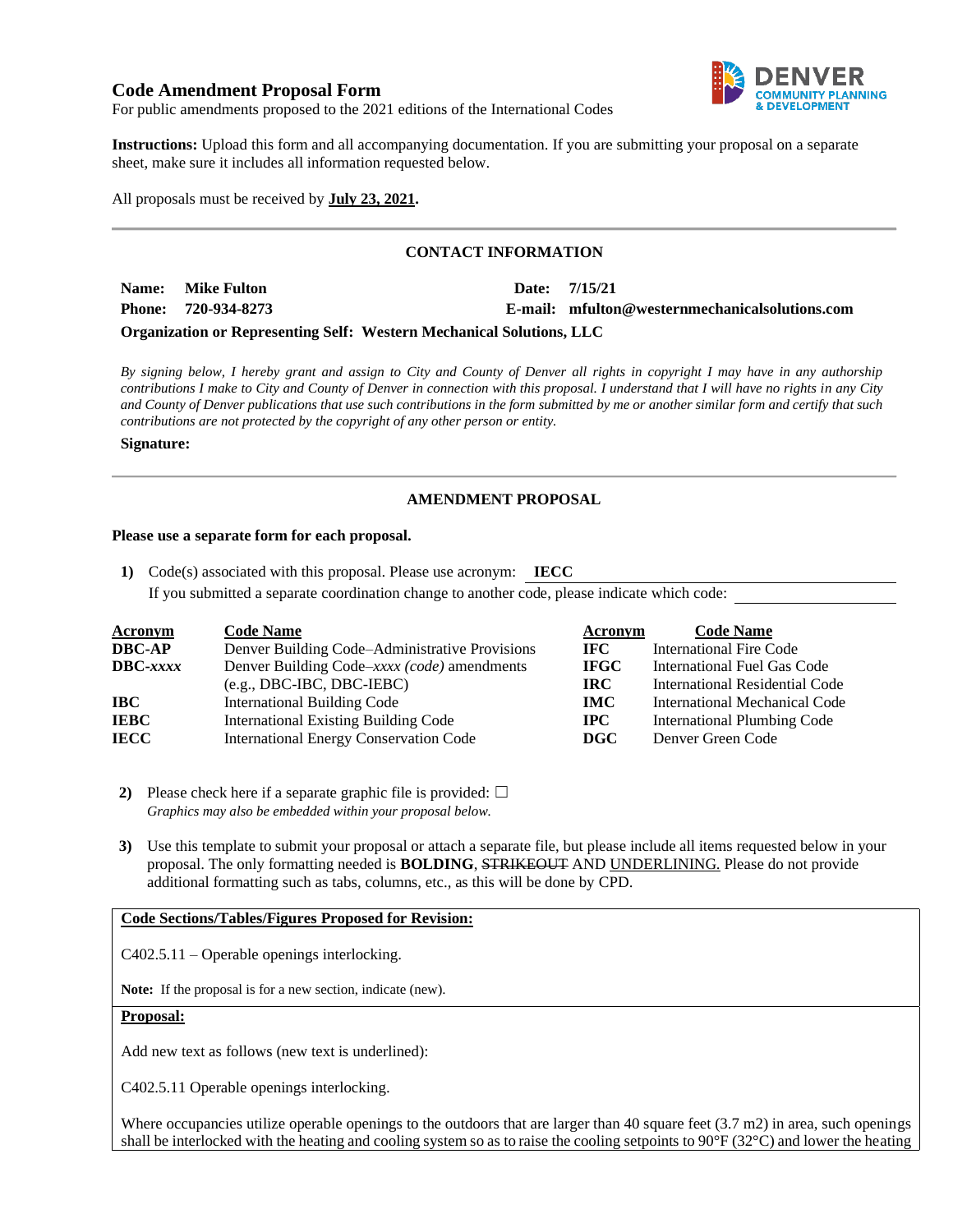# **Code Amendment Proposal Form**



For public amendments proposed to the 2021 editions of the International Codes

**Instructions:** Upload this form and all accompanying documentation. If you are submitting your proposal on a separate sheet, make sure it includes all information requested below.

All proposals must be received by **July 23, 2021.**

## **CONTACT INFORMATION**

| Name: Mike Fulton   |  | Date: 7/15/21                                  |
|---------------------|--|------------------------------------------------|
| Phone: 720-934-8273 |  | E-mail: mfulton@westernmechanicalsolutions.com |
|                     |  |                                                |

**Organization or Representing Self: Western Mechanical Solutions, LLC**

*By signing below, I hereby grant and assign to City and County of Denver all rights in copyright I may have in any authorship contributions I make to City and County of Denver in connection with this proposal. I understand that I will have no rights in any City and County of Denver publications that use such contributions in the form submitted by me or another similar form and certify that such contributions are not protected by the copyright of any other person or entity.* 

#### **Signature:**

## **AMENDMENT PROPOSAL**

#### **Please use a separate form for each proposal.**

**1)** Code(s) associated with this proposal. Please use acronym: **IECC** If you submitted a separate coordination change to another code, please indicate which code:

| <b>Acronym</b> | <b>Code Name</b>                               | Acronym     | <b>Code Name</b>                      |
|----------------|------------------------------------------------|-------------|---------------------------------------|
| DBC-AP         | Denver Building Code–Administrative Provisions | IFC.        | International Fire Code               |
| DBC-xxxx       | Denver Building Code–xxxx (code) amendments    | <b>IFGC</b> | International Fuel Gas Code           |
|                | $(e.g., DBC-IBC, DBC-IEBC)$                    | IRC.        | <b>International Residential Code</b> |
| IBC            | <b>International Building Code</b>             | <b>IMC</b>  | International Mechanical Code         |
| IEBC           | <b>International Existing Building Code</b>    | $\bf IPC$   | <b>International Plumbing Code</b>    |
| IECC           | <b>International Energy Conservation Code</b>  | <b>DGC</b>  | Denver Green Code                     |

**2)** Please check here if a separate graphic file is provided:  $\Box$ *Graphics may also be embedded within your proposal below.*

**3)** Use this template to submit your proposal or attach a separate file, but please include all items requested below in your proposal. The only formatting needed is **BOLDING**, STRIKEOUT AND UNDERLINING. Please do not provide additional formatting such as tabs, columns, etc., as this will be done by CPD.

### **Code Sections/Tables/Figures Proposed for Revision:**

C402.5.11 – Operable openings interlocking.

**Note:** If the proposal is for a new section, indicate (new).

### **Proposal:**

Add new text as follows (new text is underlined):

C402.5.11 Operable openings interlocking.

Where occupancies utilize operable openings to the outdoors that are larger than 40 square feet  $(3.7 \text{ m2})$  in area, such openings shall be interlocked with the heating and cooling system so as to raise the cooling setpoints to 90°F (32°C) and lower the heating